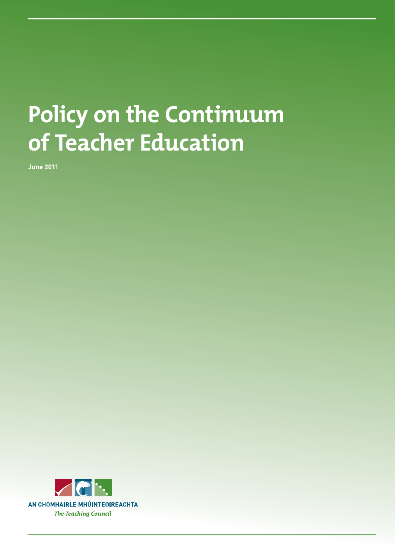# **Policy on the Continuum of Teacher Education**

**June 2011**

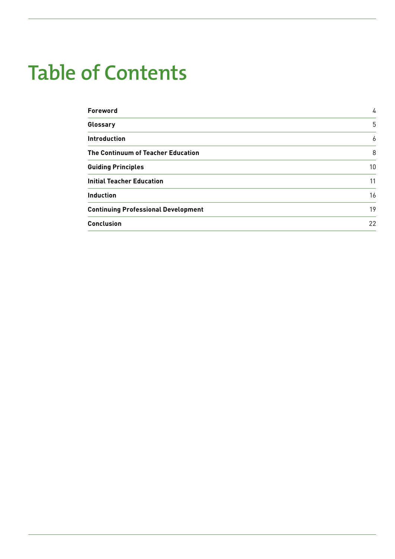# **Table of Contents**

| <b>Foreword</b>                            | 4  |
|--------------------------------------------|----|
| Glossary                                   | 5  |
| <b>Introduction</b>                        | 6  |
| The Continuum of Teacher Education         | 8  |
| <b>Guiding Principles</b>                  | 10 |
| <b>Initial Teacher Education</b>           | 11 |
| <b>Induction</b>                           | 16 |
| <b>Continuing Professional Development</b> | 19 |
| <b>Conclusion</b>                          | 22 |
|                                            |    |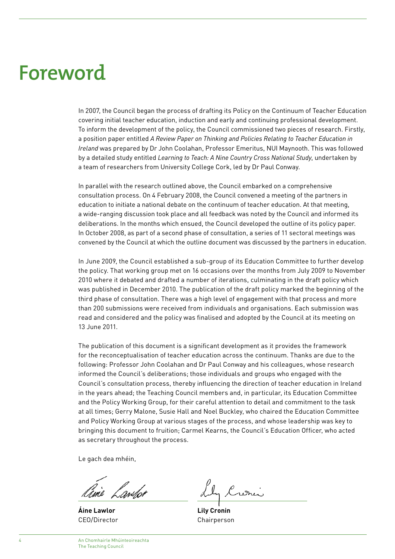## **Foreword**

In 2007, the Council began the process of drafting its Policy on the Continuum of Teacher Education covering initial teacher education, induction and early and continuing professional development. To inform the development of the policy, the Council commissioned two pieces of research. Firstly, a position paper entitled *A Review Paper on Thinking and Policies Relating to Teacher Education in Ireland* was prepared by Dr John Coolahan, Professor Emeritus, NUI Maynooth. This was followed by a detailed study entitled *Learning to Teach: A Nine Country Cross National Study*, undertaken by a team of researchers from University College Cork, led by Dr Paul Conway.

In parallel with the research outlined above, the Council embarked on a comprehensive consultation process. On 4 February 2008, the Council convened a meeting of the partners in education to initiate a national debate on the continuum of teacher education. At that meeting, a wide-ranging discussion took place and all feedback was noted by the Council and informed its deliberations. In the months which ensued, the Council developed the outline of its policy paper. In October 2008, as part of a second phase of consultation, a series of 11 sectoral meetings was convened by the Council at which the outline document was discussed by the partners in education.

In June 2009, the Council established a sub-group of its Education Committee to further develop the policy. That working group met on 16 occasions over the months from July 2009 to November 2010 where it debated and drafted a number of iterations, culminating in the draft policy which was published in December 2010. The publication of the draft policy marked the beginning of the third phase of consultation. There was a high level of engagement with that process and more than 200 submissions were received from individuals and organisations. Each submission was read and considered and the policy was finalised and adopted by the Council at its meeting on 13 June 2011.

The publication of this document is a significant development as it provides the framework for the reconceptualisation of teacher education across the continuum. Thanks are due to the following: Professor John Coolahan and Dr Paul Conway and his colleagues, whose research informed the Council's deliberations; those individuals and groups who engaged with the Council's consultation process, thereby influencing the direction of teacher education in Ireland in the years ahead; the Teaching Council members and, in particular, its Education Committee and the Policy Working Group, for their careful attention to detail and commitment to the task at all times; Gerry Malone, Susie Hall and Noel Buckley, who chaired the Education Committee and Policy Working Group at various stages of the process, and whose leadership was key to bringing this document to fruition; Carmel Kearns, the Council's Education Officer, who acted as secretary throughout the process.

Le gach dea mhéin,

g.<br>ine *Lawlor* 

**Áine Lawlor** CEO/Director

Cronis

**Lily Cronin** Chairperson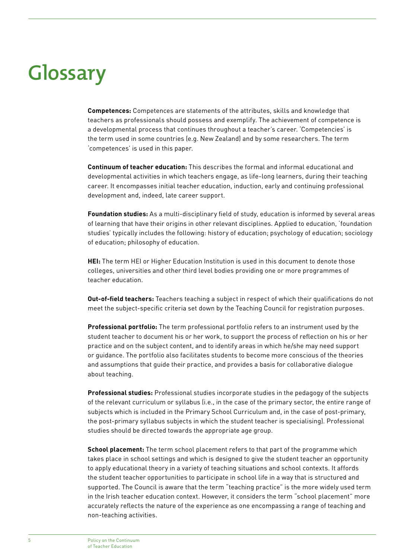# **Glossary**

**Competences:** Competences are statements of the attributes, skills and knowledge that teachers as professionals should possess and exemplify. The achievement of competence is a developmental process that continues throughout a teacher's career. 'Competencies' is the term used in some countries (e.g. New Zealand) and by some researchers. The term 'competences' is used in this paper.

**Continuum of teacher education:** This describes the formal and informal educational and developmental activities in which teachers engage, as life-long learners, during their teaching career. It encompasses initial teacher education, induction, early and continuing professional development and, indeed, late career support.

**Foundation studies:** As a multi-disciplinary field of study, education is informed by several areas of learning that have their origins in other relevant disciplines. Applied to education, 'foundation studies' typically includes the following: history of education; psychology of education; sociology of education; philosophy of education.

**HEI:** The term HEI or Higher Education Institution is used in this document to denote those colleges, universities and other third level bodies providing one or more programmes of teacher education.

**Out-of-field teachers:** Teachers teaching a subject in respect of which their qualifications do not meet the subject-specific criteria set down by the Teaching Council for registration purposes.

**Professional portfolio:** The term professional portfolio refers to an instrument used by the student teacher to document his or her work, to support the process of reflection on his or her practice and on the subject content, and to identify areas in which he/she may need support or guidance. The portfolio also facilitates students to become more conscious of the theories and assumptions that guide their practice, and provides a basis for collaborative dialogue about teaching.

**Professional studies:** Professional studies incorporate studies in the pedagogy of the subjects of the relevant curriculum or syllabus (i.e., in the case of the primary sector, the entire range of subjects which is included in the Primary School Curriculum and, in the case of post-primary, the post-primary syllabus subjects in which the student teacher is specialising). Professional studies should be directed towards the appropriate age group.

**School placement:** The term school placement refers to that part of the programme which takes place in school settings and which is designed to give the student teacher an opportunity to apply educational theory in a variety of teaching situations and school contexts. It affords the student teacher opportunities to participate in school life in a way that is structured and supported. The Council is aware that the term "teaching practice" is the more widely used term in the Irish teacher education context. However, it considers the term "school placement" more accurately reflects the nature of the experience as one encompassing a range of teaching and non-teaching activities.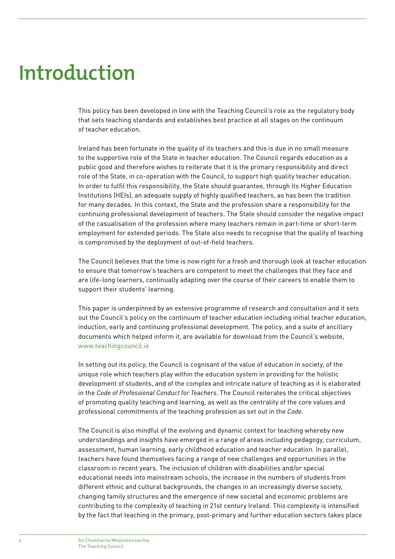## **Introduction**

This policy has been developed in line with the Teaching Council's role as the regulatory body that sets teaching standards and establishes best practice at all stages on the continuum of teacher education.

Ireland has been fortunate in the quality of its teachers and this is due in no small measure to the supportive role of the State in teacher education. The Council regards education as a public good and therefore wishes to reiterate that it is the primary responsibility and direct role of the State, in co-operation with the Council, to support high quality teacher education. In order to fulfil this responsibility, the State should guarantee, through its Higher Education Institutions (HEIs), an adequate supply of highly qualified teachers, as has been the tradition for many decades. In this context, the State and the profession share a responsibility for the continuing professional development of teachers. The State should consider the negative impact of the casualisation of the profession where many teachers remain in part-time or short-term employment for extended periods. The State also needs to recognise that the quality of teaching is compromised by the deployment of out-of-field teachers.

The Council believes that the time is now right for a fresh and thorough look at teacher education to ensure that tomorrow's teachers are competent to meet the challenges that they face and are life-long learners, continually adapting over the course of their careers to enable them to support their students' learning.

This paper is underpinned by an extensive programme of research and consultation and it sets out the Council's policy on the continuum of teacher education including initial teacher education, induction, early and continuing professional development. The policy, and a suite of ancillary documents which helped inform it, are available for download from the Council's website, www.teachingcouncil.ie

In setting out its policy, the Council is cognisant of the value of education in society, of the unique role which teachers play within the education system in providing for the holistic development of students, and of the complex and intricate nature of teaching as it is elaborated in the *Code of Professional Conduct for Teachers*. The Council reiterates the critical objectives of promoting quality teaching and learning, as well as the centrality of the core values and professional commitments of the teaching profession as set out in the *Code*.

The Council is also mindful of the evolving and dynamic context for teaching whereby new understandings and insights have emerged in a range of areas including pedagogy, curriculum, assessment, human learning, early childhood education and teacher education. In parallel, teachers have found themselves facing a range of new challenges and opportunities in the classroom in recent years. The inclusion of children with disabilities and/or special educational needs into mainstream schools, the increase in the numbers of students from different ethnic and cultural backgrounds, the changes in an increasingly diverse society, changing family structures and the emergence of new societal and economic problems are contributing to the complexity of teaching in 21st century Ireland. This complexity is intensified by the fact that teaching in the primary, post-primary and further education sectors takes place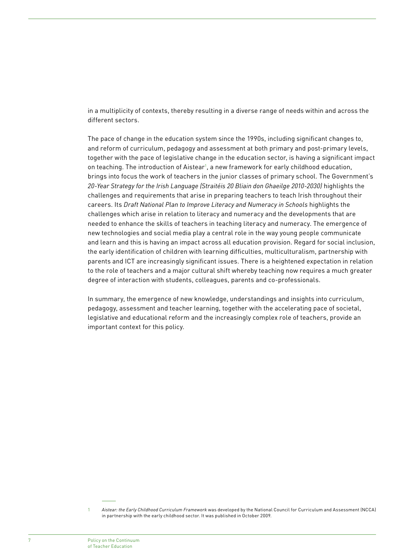in a multiplicity of contexts, thereby resulting in a diverse range of needs within and across the different sectors.

The pace of change in the education system since the 1990s, including significant changes to, and reform of curriculum, pedagogy and assessment at both primary and post-primary levels, together with the pace of legislative change in the education sector, is having a significant impact on teaching. The introduction of Aistear<sup>1</sup>, a new framework for early childhood education, brings into focus the work of teachers in the junior classes of primary school. The Government's *20-Year Strategy for the Irish Language (Straitéis 20 Bliain don Ghaeilge 2010-2030)* highlights the challenges and requirements that arise in preparing teachers to teach Irish throughout their careers. Its *Draft National Plan to Improve Literacy and Numeracy in Schools* highlights the challenges which arise in relation to literacy and numeracy and the developments that are needed to enhance the skills of teachers in teaching literacy and numeracy. The emergence of new technologies and social media play a central role in the way young people communicate and learn and this is having an impact across all education provision. Regard for social inclusion, the early identification of children with learning difficulties, multiculturalism, partnership with parents and ICT are increasingly significant issues. There is a heightened expectation in relation to the role of teachers and a major cultural shift whereby teaching now requires a much greater degree of interaction with students, colleagues, parents and co-professionals.

In summary, the emergence of new knowledge, understandings and insights into curriculum, pedagogy, assessment and teacher learning, together with the accelerating pace of societal, legislative and educational reform and the increasingly complex role of teachers, provide an important context for this policy.

<sup>1</sup> *Aistear: the Early Childhood Curriculum Framework* was developed by the National Council for Curriculum and Assessment (NCCA) in partnership with the early childhood sector. It was published in October 2009.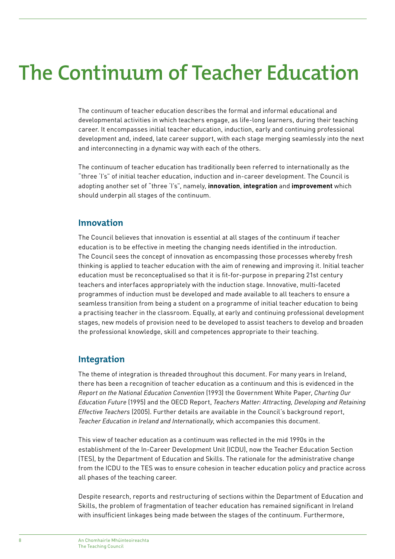## **The Continuum of Teacher Education**

The continuum of teacher education describes the formal and informal educational and developmental activities in which teachers engage, as life-long learners, during their teaching career. It encompasses initial teacher education, induction, early and continuing professional development and, indeed, late career support, with each stage merging seamlessly into the next and interconnecting in a dynamic way with each of the others.

The continuum of teacher education has traditionally been referred to internationally as the "three 'I's" of initial teacher education, induction and in-career development. The Council is adopting another set of "three 'I's", namely, **innovation**, **integration** and **improvement** which should underpin all stages of the continuum.

### **Innovation**

The Council believes that innovation is essential at all stages of the continuum if teacher education is to be effective in meeting the changing needs identified in the introduction. The Council sees the concept of innovation as encompassing those processes whereby fresh thinking is applied to teacher education with the aim of renewing and improving it. Initial teacher education must be reconceptualised so that it is fit-for-purpose in preparing 21st century teachers and interfaces appropriately with the induction stage. Innovative, multi-faceted programmes of induction must be developed and made available to all teachers to ensure a seamless transition from being a student on a programme of initial teacher education to being a practising teacher in the classroom. Equally, at early and continuing professional development stages, new models of provision need to be developed to assist teachers to develop and broaden the professional knowledge, skill and competences appropriate to their teaching.

### **Integration**

The theme of integration is threaded throughout this document. For many years in Ireland, there has been a recognition of teacher education as a continuum and this is evidenced in the *Report on the National Education Convention* (1993) the Government White Paper, *Charting Our Education Future* (1995) and the OECD Report, *Teachers Matter: Attracting, Developing and Retaining Effective Teachers* (2005). Further details are available in the Council's background report, *Teacher Education in Ireland and Internationally*, which accompanies this document.

This view of teacher education as a continuum was reflected in the mid 1990s in the establishment of the In-Career Development Unit (ICDU), now the Teacher Education Section (TES), by the Department of Education and Skills. The rationale for the administrative change from the ICDU to the TES was to ensure cohesion in teacher education policy and practice across all phases of the teaching career.

Despite research, reports and restructuring of sections within the Department of Education and Skills, the problem of fragmentation of teacher education has remained significant in Ireland with insufficient linkages being made between the stages of the continuum. Furthermore,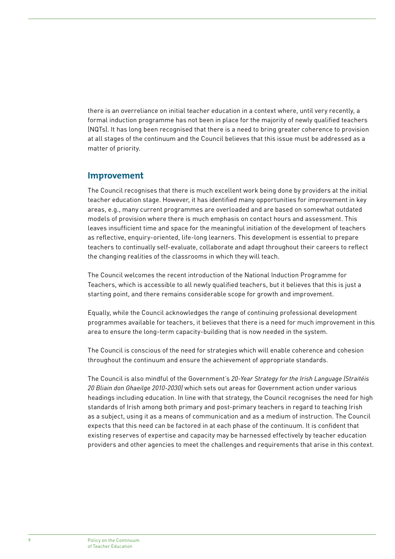there is an overreliance on initial teacher education in a context where, until very recently, a formal induction programme has not been in place for the majority of newly qualified teachers (NQTs). It has long been recognised that there is a need to bring greater coherence to provision at all stages of the continuum and the Council believes that this issue must be addressed as a matter of priority.

### **Improvement**

The Council recognises that there is much excellent work being done by providers at the initial teacher education stage. However, it has identified many opportunities for improvement in key areas, e.g., many current programmes are overloaded and are based on somewhat outdated models of provision where there is much emphasis on contact hours and assessment. This leaves insufficient time and space for the meaningful initiation of the development of teachers as reflective, enquiry-oriented, life-long learners. This development is essential to prepare teachers to continually self-evaluate, collaborate and adapt throughout their careers to reflect the changing realities of the classrooms in which they will teach.

The Council welcomes the recent introduction of the National Induction Programme for Teachers, which is accessible to all newly qualified teachers, but it believes that this is just a starting point, and there remains considerable scope for growth and improvement.

Equally, while the Council acknowledges the range of continuing professional development programmes available for teachers, it believes that there is a need for much improvement in this area to ensure the long-term capacity-building that is now needed in the system.

The Council is conscious of the need for strategies which will enable coherence and cohesion throughout the continuum and ensure the achievement of appropriate standards.

The Council is also mindful of the Government's *20-Year Strategy for the Irish Language (Straitéis 20 Bliain don Ghaeilge 2010-2030)* which sets out areas for Government action under various headings including education. In line with that strategy, the Council recognises the need for high standards of Irish among both primary and post-primary teachers in regard to teaching Irish as a subject, using it as a means of communication and as a medium of instruction. The Council expects that this need can be factored in at each phase of the continuum. It is confident that existing reserves of expertise and capacity may be harnessed effectively by teacher education providers and other agencies to meet the challenges and requirements that arise in this context.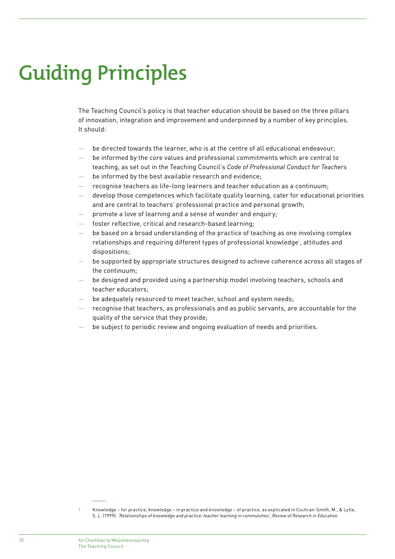# **Guiding Principles**

The Teaching Council's policy is that teacher education should be based on the three pillars of innovation, integration and improvement and underpinned by a number of key principles. It should:

- be directed towards the learner, who is at the centre of all educational endeavour;
- be informed by the core values and professional commitments which are central to teaching, as set out in the Teaching Council's *Code of Professional Conduct for Teachers*
- be informed by the best available research and evidence;
- recognise teachers as life-long learners and teacher education as a continuum;
- develop those competences which facilitate quality learning, cater for educational priorities and are central to teachers' professional practice and personal growth;
- promote a love of learning and a sense of wonder and enquiry;
- foster reflective, critical and research-based learning:
- be based on a broad understanding of the practice of teaching as one involving complex relationships and requiring different types of professional knowledge<sup>1</sup>, attitudes and dispositions;
- be supported by appropriate structures designed to achieve coherence across all stages of the continuum;
- be designed and provided using a partnership model involving teachers, schools and teacher educators;
- be adequately resourced to meet teacher, school and system needs;
- recognise that teachers, as professionals and as public servants, are accountable for the quality of the service that they provide;
- be subject to periodic review and ongoing evaluation of needs and priorities.

<sup>1</sup> Knowledge – for practice, knowledge – in practice and knowledge – of practice, as explicated in Cochran-Smith, M., & Lytle, S. L. (1999). *'Relationships of knowledge and practice: teacher learning in communities', Review of Research in Education*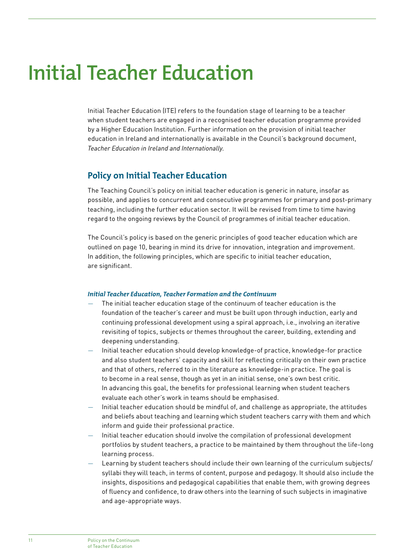## **Initial Teacher Education**

Initial Teacher Education (ITE) refers to the foundation stage of learning to be a teacher when student teachers are engaged in a recognised teacher education programme provided by a Higher Education Institution. Further information on the provision of initial teacher education in Ireland and internationally is available in the Council's background document, *Teacher Education in Ireland and Internationally*.

### **Policy on Initial Teacher Education**

The Teaching Council's policy on initial teacher education is generic in nature, insofar as possible, and applies to concurrent and consecutive programmes for primary and post-primary teaching, including the further education sector. It will be revised from time to time having regard to the ongoing reviews by the Council of programmes of initial teacher education.

The Council's policy is based on the generic principles of good teacher education which are outlined on page 10, bearing in mind its drive for innovation, integration and improvement. In addition, the following principles, which are specific to initial teacher education, are significant.

#### *Initial Teacher Education, Teacher Formation and the Continuum*

- The initial teacher education stage of the continuum of teacher education is the foundation of the teacher's career and must be built upon through induction, early and continuing professional development using a spiral approach, i.e., involving an iterative revisiting of topics, subjects or themes throughout the career, building, extending and deepening understanding.
- Initial teacher education should develop knowledge-of practice, knowledge-for practice and also student teachers' capacity and skill for reflecting critically on their own practice and that of others, referred to in the literature as knowledge-in practice. The goal is to become in a real sense, though as yet in an initial sense, one's own best critic. In advancing this goal, the benefits for professional learning when student teachers evaluate each other's work in teams should be emphasised.
- Initial teacher education should be mindful of, and challenge as appropriate, the attitudes and beliefs about teaching and learning which student teachers carry with them and which inform and guide their professional practice.
- Initial teacher education should involve the compilation of professional development portfolios by student teachers, a practice to be maintained by them throughout the life-long learning process.
- Learning by student teachers should include their own learning of the curriculum subjects/ syllabi they will teach, in terms of content, purpose and pedagogy. It should also include the insights, dispositions and pedagogical capabilities that enable them, with growing degrees of fluency and confidence, to draw others into the learning of such subjects in imaginative and age-appropriate ways.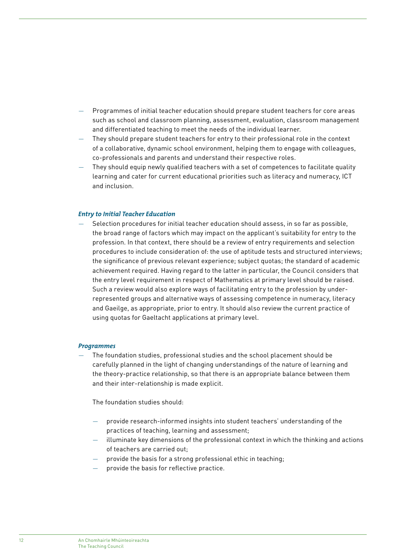- Programmes of initial teacher education should prepare student teachers for core areas such as school and classroom planning, assessment, evaluation, classroom management and differentiated teaching to meet the needs of the individual learner.
- They should prepare student teachers for entry to their professional role in the context of a collaborative, dynamic school environment, helping them to engage with colleagues, co-professionals and parents and understand their respective roles.
- They should equip newly qualified teachers with a set of competences to facilitate quality learning and cater for current educational priorities such as literacy and numeracy, ICT and inclusion.

#### *Entry to Initial Teacher Education*

— Selection procedures for initial teacher education should assess, in so far as possible, the broad range of factors which may impact on the applicant's suitability for entry to the profession. In that context, there should be a review of entry requirements and selection procedures to include consideration of: the use of aptitude tests and structured interviews; the significance of previous relevant experience; subject quotas; the standard of academic achievement required. Having regard to the latter in particular, the Council considers that the entry level requirement in respect of Mathematics at primary level should be raised. Such a review would also explore ways of facilitating entry to the profession by underrepresented groups and alternative ways of assessing competence in numeracy, literacy and Gaeilge, as appropriate, prior to entry. It should also review the current practice of using quotas for Gaeltacht applications at primary level.

#### *Programmes*

— The foundation studies, professional studies and the school placement should be carefully planned in the light of changing understandings of the nature of learning and the theory-practice relationship, so that there is an appropriate balance between them and their inter-relationship is made explicit.

The foundation studies should:

- provide research-informed insights into student teachers' understanding of the practices of teaching, learning and assessment;
- illuminate key dimensions of the professional context in which the thinking and actions of teachers are carried out;
- provide the basis for a strong professional ethic in teaching;
- provide the basis for reflective practice.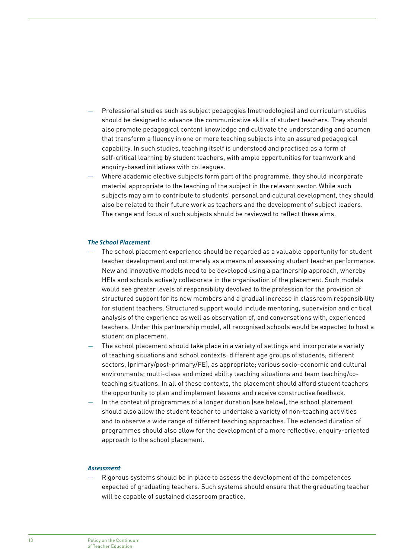- Professional studies such as subject pedagogies (methodologies) and curriculum studies should be designed to advance the communicative skills of student teachers. They should also promote pedagogical content knowledge and cultivate the understanding and acumen that transform a fluency in one or more teaching subjects into an assured pedagogical capability. In such studies, teaching itself is understood and practised as a form of self-critical learning by student teachers, with ample opportunities for teamwork and enquiry-based initiatives with colleagues.
- Where academic elective subjects form part of the programme, they should incorporate material appropriate to the teaching of the subject in the relevant sector. While such subjects may aim to contribute to students' personal and cultural development, they should also be related to their future work as teachers and the development of subject leaders. The range and focus of such subjects should be reviewed to reflect these aims.

#### *The School Placement*

- The school placement experience should be regarded as a valuable opportunity for student teacher development and not merely as a means of assessing student teacher performance. New and innovative models need to be developed using a partnership approach, whereby HEIs and schools actively collaborate in the organisation of the placement. Such models would see greater levels of responsibility devolved to the profession for the provision of structured support for its new members and a gradual increase in classroom responsibility for student teachers. Structured support would include mentoring, supervision and critical analysis of the experience as well as observation of, and conversations with, experienced teachers. Under this partnership model, all recognised schools would be expected to host a student on placement.
- The school placement should take place in a variety of settings and incorporate a variety of teaching situations and school contexts: different age groups of students; different sectors, (primary/post-primary/FE), as appropriate; various socio-economic and cultural environments; multi-class and mixed ability teaching situations and team teaching/coteaching situations. In all of these contexts, the placement should afford student teachers the opportunity to plan and implement lessons and receive constructive feedback.
- In the context of programmes of a longer duration (see below), the school placement should also allow the student teacher to undertake a variety of non-teaching activities and to observe a wide range of different teaching approaches. The extended duration of programmes should also allow for the development of a more reflective, enquiry-oriented approach to the school placement.

#### *Assessment*

— Rigorous systems should be in place to assess the development of the competences expected of graduating teachers. Such systems should ensure that the graduating teacher will be capable of sustained classroom practice.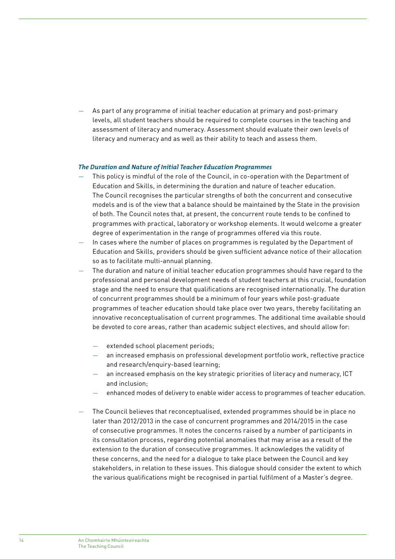As part of any programme of initial teacher education at primary and post-primary levels, all student teachers should be required to complete courses in the teaching and assessment of literacy and numeracy. Assessment should evaluate their own levels of literacy and numeracy and as well as their ability to teach and assess them.

#### *The Duration and Nature of Initial Teacher Education Programmes*

- This policy is mindful of the role of the Council, in co-operation with the Department of Education and Skills, in determining the duration and nature of teacher education. The Council recognises the particular strengths of both the concurrent and consecutive models and is of the view that a balance should be maintained by the State in the provision of both. The Council notes that, at present, the concurrent route tends to be confined to programmes with practical, laboratory or workshop elements. It would welcome a greater degree of experimentation in the range of programmes offered via this route.
- In cases where the number of places on programmes is regulated by the Department of Education and Skills, providers should be given sufficient advance notice of their allocation so as to facilitate multi-annual planning.
- The duration and nature of initial teacher education programmes should have regard to the professional and personal development needs of student teachers at this crucial, foundation stage and the need to ensure that qualifications are recognised internationally. The duration of concurrent programmes should be a minimum of four years while post-graduate programmes of teacher education should take place over two years, thereby facilitating an innovative reconceptualisation of current programmes. The additional time available should be devoted to core areas, rather than academic subject electives, and should allow for:
	- extended school placement periods:
	- an increased emphasis on professional development portfolio work, reflective practice and research/enquiry-based learning;
	- an increased emphasis on the key strategic priorities of literacy and numeracy, ICT and inclusion;
	- enhanced modes of delivery to enable wider access to programmes of teacher education.
- The Council believes that reconceptualised, extended programmes should be in place no later than 2012/2013 in the case of concurrent programmes and 2014/2015 in the case of consecutive programmes. It notes the concerns raised by a number of participants in its consultation process, regarding potential anomalies that may arise as a result of the extension to the duration of consecutive programmes. It acknowledges the validity of these concerns, and the need for a dialogue to take place between the Council and key stakeholders, in relation to these issues. This dialogue should consider the extent to which the various qualifications might be recognised in partial fulfilment of a Master's degree.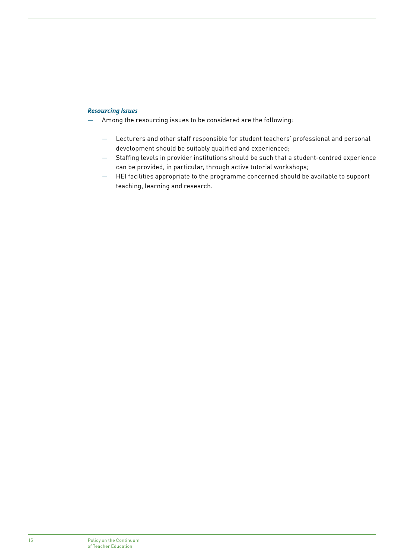#### *Resourcing Issues*

- Among the resourcing issues to be considered are the following:
	- Lecturers and other staff responsible for student teachers' professional and personal development should be suitably qualified and experienced;
	- Staffing levels in provider institutions should be such that a student-centred experience can be provided, in particular, through active tutorial workshops;
	- HEI facilities appropriate to the programme concerned should be available to support teaching, learning and research.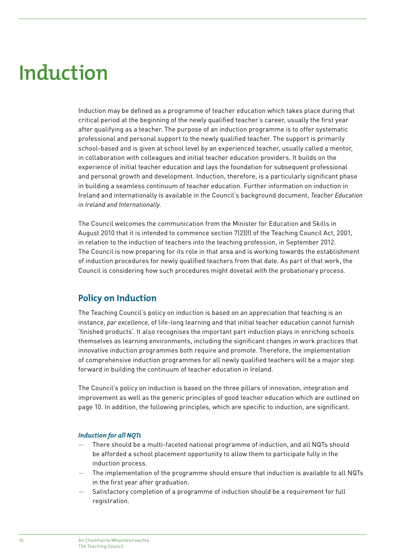## **Induction**

Induction may be defined as a programme of teacher education which takes place during that critical period at the beginning of the newly qualified teacher's career, usually the first year after qualifying as a teacher. The purpose of an induction programme is to offer systematic professional and personal support to the newly qualified teacher. The support is primarily school-based and is given at school level by an experienced teacher, usually called a mentor, in collaboration with colleagues and initial teacher education providers. It builds on the experience of initial teacher education and lays the foundation for subsequent professional and personal growth and development. Induction, therefore, is a particularly significant phase in building a seamless continuum of teacher education. Further information on induction in Ireland and internationally is available in the Council's background document, *Teacher Education in Ireland and Internationally*.

The Council welcomes the communication from the Minister for Education and Skills in August 2010 that it is intended to commence section 7(2)(f) of the Teaching Council Act, 2001, in relation to the induction of teachers into the teaching profession, in September 2012. The Council is now preparing for its role in that area and is working towards the establishment of induction procedures for newly qualified teachers from that date. As part of that work, the Council is considering how such procedures might dovetail with the probationary process.

## **Policy on Induction**

The Teaching Council's policy on induction is based on an appreciation that teaching is an instance, *par excellence*, of life-long learning and that initial teacher education cannot furnish 'finished products'. It also recognises the important part induction plays in enriching schools themselves as learning environments, including the significant changes in work practices that innovative induction programmes both require and promote. Therefore, the implementation of comprehensive induction programmes for all newly qualified teachers will be a major step forward in building the continuum of teacher education in Ireland.

The Council's policy on induction is based on the three pillars of innovation, integration and improvement as well as the generic principles of good teacher education which are outlined on page 10. In addition, the following principles, which are specific to induction, are significant.

#### *Induction for all NQTs*

- There should be a multi-faceted national programme of induction, and all NQTs should be afforded a school placement opportunity to allow them to participate fully in the induction process.
- The implementation of the programme should ensure that induction is available to all NQTs in the first year after graduation.
- Satisfactory completion of a programme of induction should be a requirement for full registration.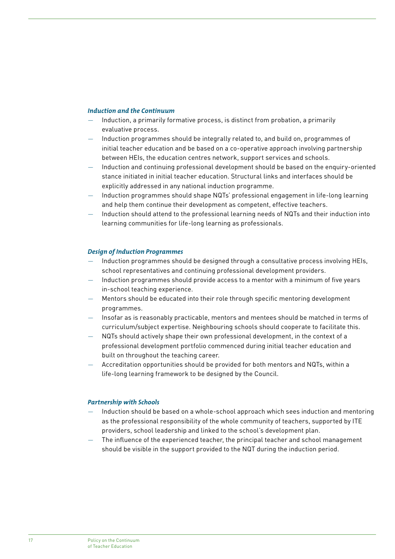#### *Induction and the Continuum*

- Induction, a primarily formative process, is distinct from probation, a primarily evaluative process.
- Induction programmes should be integrally related to, and build on, programmes of initial teacher education and be based on a co-operative approach involving partnership between HEIs, the education centres network, support services and schools.
- Induction and continuing professional development should be based on the enquiry-oriented stance initiated in initial teacher education. Structural links and interfaces should be explicitly addressed in any national induction programme.
- Induction programmes should shape NQTs' professional engagement in life-long learning and help them continue their development as competent, effective teachers.
- Induction should attend to the professional learning needs of NQTs and their induction into learning communities for life-long learning as professionals.

#### *Design of Induction Programmes*

- Induction programmes should be designed through a consultative process involving HEIs, school representatives and continuing professional development providers.
- Induction programmes should provide access to a mentor with a minimum of five years in-school teaching experience.
- Mentors should be educated into their role through specific mentoring development programmes.
- Insofar as is reasonably practicable, mentors and mentees should be matched in terms of curriculum/subject expertise. Neighbouring schools should cooperate to facilitate this.
- NQTs should actively shape their own professional development, in the context of a professional development portfolio commenced during initial teacher education and built on throughout the teaching career.
- Accreditation opportunities should be provided for both mentors and NQTs, within a life-long learning framework to be designed by the Council.

#### *Partnership with Schools*

- Induction should be based on a whole-school approach which sees induction and mentoring as the professional responsibility of the whole community of teachers, supported by ITE providers, school leadership and linked to the school's development plan.
- The influence of the experienced teacher, the principal teacher and school management should be visible in the support provided to the NQT during the induction period.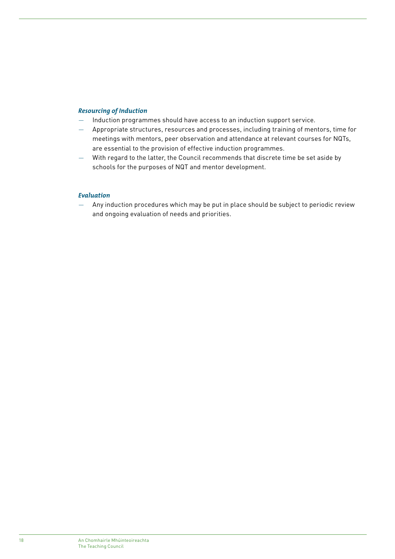#### *Resourcing of Induction*

- Induction programmes should have access to an induction support service.
- Appropriate structures, resources and processes, including training of mentors, time for meetings with mentors, peer observation and attendance at relevant courses for NQTs, are essential to the provision of effective induction programmes.
- With regard to the latter, the Council recommends that discrete time be set aside by schools for the purposes of NQT and mentor development.

#### *Evaluation*

— Any induction procedures which may be put in place should be subject to periodic review and ongoing evaluation of needs and priorities.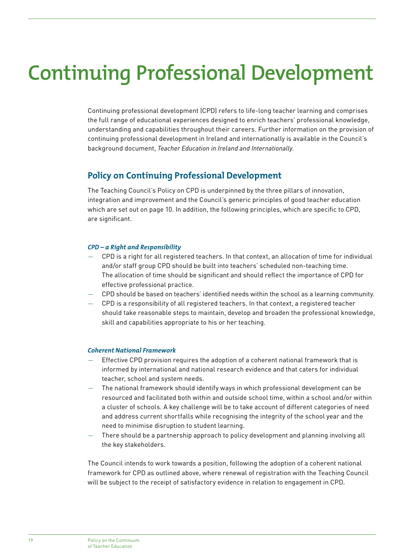# **Continuing Professional Development**

Continuing professional development (CPD) refers to life-long teacher learning and comprises the full range of educational experiences designed to enrich teachers' professional knowledge, understanding and capabilities throughout their careers. Further information on the provision of continuing professional development in Ireland and internationally is available in the Council's background document, *Teacher Education in Ireland and Internationally*.

## **Policy on Continuing Professional Development**

The Teaching Council's Policy on CPD is underpinned by the three pillars of innovation, integration and improvement and the Council's generic principles of good teacher education which are set out on page 10. In addition, the following principles, which are specific to CPD, are significant.

#### *CPD – a Right and Responsibility*

- CPD is a right for all registered teachers. In that context, an allocation of time for individual and/or staff group CPD should be built into teachers' scheduled non-teaching time. The allocation of time should be significant and should reflect the importance of CPD for effective professional practice.
- CPD should be based on teachers' identified needs within the school as a learning community.
- CPD is a responsibility of all registered teachers. In that context, a registered teacher should take reasonable steps to maintain, develop and broaden the professional knowledge, skill and capabilities appropriate to his or her teaching.

#### *Coherent National Framework*

- Effective CPD provision requires the adoption of a coherent national framework that is informed by international and national research evidence and that caters for individual teacher, school and system needs.
- The national framework should identify ways in which professional development can be resourced and facilitated both within and outside school time, within a school and/or within a cluster of schools. A key challenge will be to take account of different categories of need and address current shortfalls while recognising the integrity of the school year and the need to minimise disruption to student learning.
- There should be a partnership approach to policy development and planning involving all the key stakeholders.

The Council intends to work towards a position, following the adoption of a coherent national framework for CPD as outlined above, where renewal of registration with the Teaching Council will be subject to the receipt of satisfactory evidence in relation to engagement in CPD.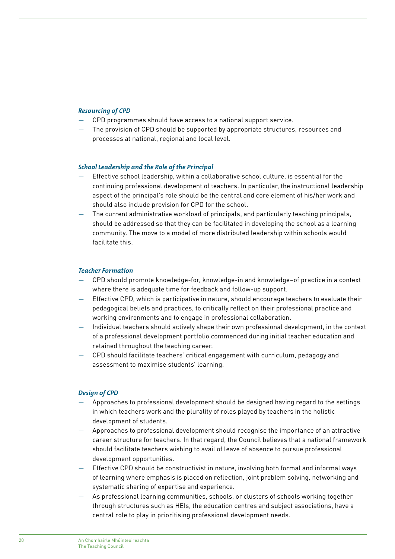#### *Resourcing of CPD*

- CPD programmes should have access to a national support service.
- The provision of CPD should be supported by appropriate structures, resources and processes at national, regional and local level.

#### *School Leadership and the Role of the Principal*

- Effective school leadership, within a collaborative school culture, is essential for the continuing professional development of teachers. In particular, the instructional leadership aspect of the principal's role should be the central and core element of his/her work and should also include provision for CPD for the school.
- The current administrative workload of principals, and particularly teaching principals, should be addressed so that they can be facilitated in developing the school as a learning community. The move to a model of more distributed leadership within schools would facilitate this.

#### *Teacher Formation*

- CPD should promote knowledge-for, knowledge-in and knowledge–of practice in a context where there is adequate time for feedback and follow-up support.
- Effective CPD, which is participative in nature, should encourage teachers to evaluate their pedagogical beliefs and practices, to critically reflect on their professional practice and working environments and to engage in professional collaboration.
- Individual teachers should actively shape their own professional development, in the context of a professional development portfolio commenced during initial teacher education and retained throughout the teaching career.
- CPD should facilitate teachers' critical engagement with curriculum, pedagogy and assessment to maximise students' learning.

#### *Design of CPD*

- Approaches to professional development should be designed having regard to the settings in which teachers work and the plurality of roles played by teachers in the holistic development of students.
- Approaches to professional development should recognise the importance of an attractive career structure for teachers. In that regard, the Council believes that a national framework should facilitate teachers wishing to avail of leave of absence to pursue professional development opportunities.
- Effective CPD should be constructivist in nature, involving both formal and informal ways of learning where emphasis is placed on reflection, joint problem solving, networking and systematic sharing of expertise and experience.
- As professional learning communities, schools, or clusters of schools working together through structures such as HEIs, the education centres and subject associations, have a central role to play in prioritising professional development needs.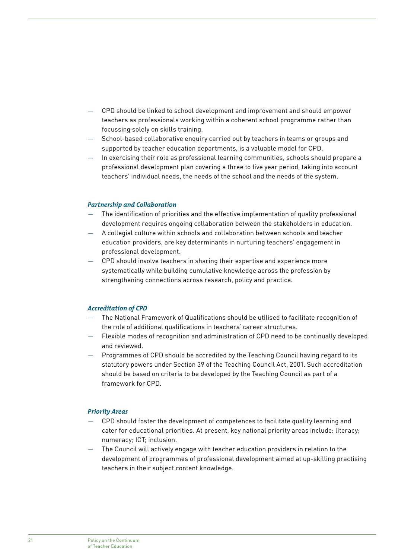- CPD should be linked to school development and improvement and should empower teachers as professionals working within a coherent school programme rather than focussing solely on skills training.
- School-based collaborative enquiry carried out by teachers in teams or groups and supported by teacher education departments, is a valuable model for CPD.
- In exercising their role as professional learning communities, schools should prepare a professional development plan covering a three to five year period, taking into account teachers' individual needs, the needs of the school and the needs of the system.

#### *Partnership and Collaboration*

- The identification of priorities and the effective implementation of quality professional development requires ongoing collaboration between the stakeholders in education.
- A collegial culture within schools and collaboration between schools and teacher education providers, are key determinants in nurturing teachers' engagement in professional development.
- CPD should involve teachers in sharing their expertise and experience more systematically while building cumulative knowledge across the profession by strengthening connections across research, policy and practice.

#### *Accreditation of CPD*

- The National Framework of Qualifications should be utilised to facilitate recognition of the role of additional qualifications in teachers' career structures.
- Flexible modes of recognition and administration of CPD need to be continually developed and reviewed.
- Programmes of CPD should be accredited by the Teaching Council having regard to its statutory powers under Section 39 of the Teaching Council Act, 2001. Such accreditation should be based on criteria to be developed by the Teaching Council as part of a framework for CPD.

#### *Priority Areas*

- CPD should foster the development of competences to facilitate quality learning and cater for educational priorities. At present, key national priority areas include: literacy; numeracy; ICT; inclusion.
- The Council will actively engage with teacher education providers in relation to the development of programmes of professional development aimed at up-skilling practising teachers in their subject content knowledge.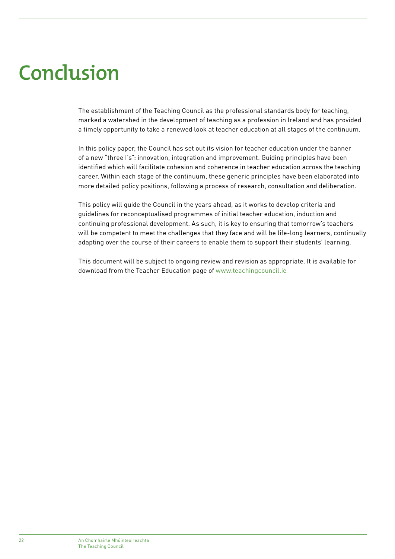# **Conclusion**

The establishment of the Teaching Council as the professional standards body for teaching, marked a watershed in the development of teaching as a profession in Ireland and has provided a timely opportunity to take a renewed look at teacher education at all stages of the continuum.

In this policy paper, the Council has set out its vision for teacher education under the banner of a new "three I's": innovation, integration and improvement. Guiding principles have been identified which will facilitate cohesion and coherence in teacher education across the teaching career. Within each stage of the continuum, these generic principles have been elaborated into more detailed policy positions, following a process of research, consultation and deliberation.

This policy will guide the Council in the years ahead, as it works to develop criteria and guidelines for reconceptualised programmes of initial teacher education, induction and continuing professional development. As such, it is key to ensuring that tomorrow's teachers will be competent to meet the challenges that they face and will be life-long learners, continually adapting over the course of their careers to enable them to support their students' learning.

This document will be subject to ongoing review and revision as appropriate. It is available for download from the Teacher Education page of www.teachingcouncil.ie